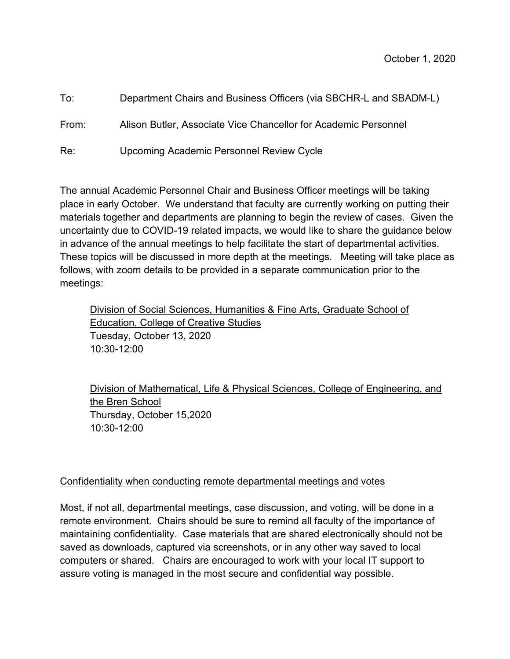| To:   | Department Chairs and Business Officers (via SBCHR-L and SBADM-L) |
|-------|-------------------------------------------------------------------|
| From: | Alison Butler, Associate Vice Chancellor for Academic Personnel   |
| Re:   | Upcoming Academic Personnel Review Cycle                          |

The annual Academic Personnel Chair and Business Officer meetings will be taking place in early October. We understand that faculty are currently working on putting their materials together and departments are planning to begin the review of cases. Given the uncertainty due to COVID-19 related impacts, we would like to share the guidance below in advance of the annual meetings to help facilitate the start of departmental activities. These topics will be discussed in more depth at the meetings. Meeting will take place as follows, with zoom details to be provided in a separate communication prior to the meetings:

Division of Social Sciences, Humanities & Fine Arts, Graduate School of Education, College of Creative Studies Tuesday, October 13, 2020 10:30-12:00

Division of Mathematical, Life & Physical Sciences, College of Engineering, and the Bren School Thursday, October 15,2020 10:30-12:00

## Confidentiality when conducting remote departmental meetings and votes

Most, if not all, departmental meetings, case discussion, and voting, will be done in a remote environment. Chairs should be sure to remind all faculty of the importance of maintaining confidentiality. Case materials that are shared electronically should not be saved as downloads, captured via screenshots, or in any other way saved to local computers or shared. Chairs are encouraged to work with your local IT support to assure voting is managed in the most secure and confidential way possible.